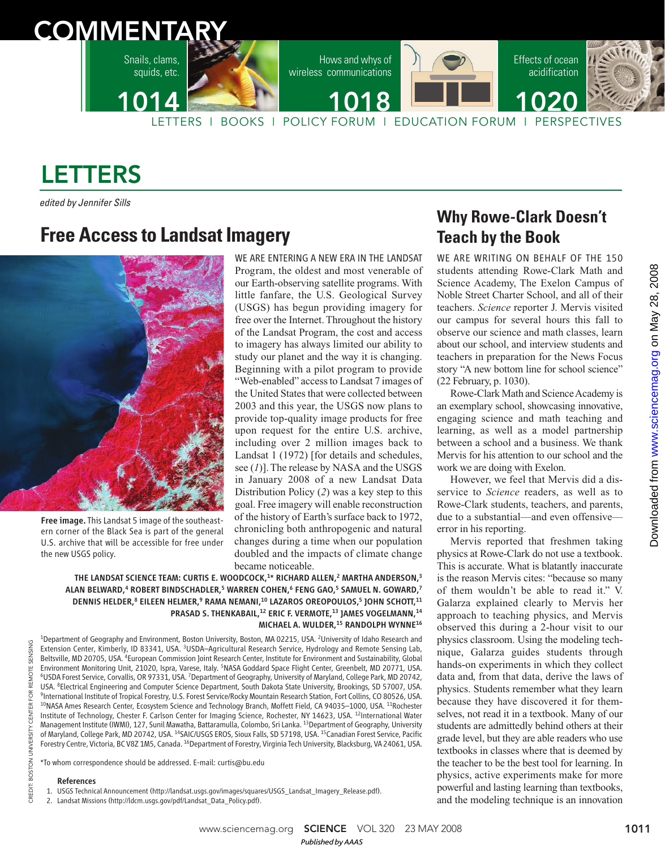

# LETTERS

edited by Jennifer Sills

## **Free Access to Landsat Imagery**



Free image.This Landsat 5 image of the southeastern corner of the Black Sea is part of the general U.S. archive that will be accessible for free under the new USGS policy.

WE ARE ENTERING A NEW ERA IN THE LANDSAT Program, the oldest and most venerable of our Earth-observing satellite programs. With little fanfare, the U.S. Geological Survey (USGS) has begun providing imagery for free over the Internet. Throughout the history of the Landsat Program, the cost and access to imagery has always limited our ability to study our planet and the way it is changing. Beginning with a pilot program to provide "Web-enabled" access to Landsat 7 images of the United States that were collected between 2003 and this year, the USGS now plans to provide top-quality image products for free upon request for the entire U.S. archive, including over 2 million images back to Landsat 1 (1972) [for details and schedules, see (*1*)]. The release by NASA and the USGS in January 2008 of a new Landsat Data Distribution Policy (*2*) was a key step to this goal. Free imagery will enable reconstruction of the history of Earth's surface back to 1972, chronicling both anthropogenic and natural changes during a time when our population doubled and the impacts of climate change became noticeable.

THE LANDSAT SCIENCE TEAM: CURTIS E. WOODCOCK,<sup>1\*</sup> RICHARD ALLEN,<sup>2</sup> MARTHA ANDERSON,<sup>3</sup> ALAN BELWARD,<sup>4</sup> ROBERT BINDSCHADLER,<sup>5</sup> WARREN COHEN,<sup>6</sup> FENG GAO,<sup>5</sup> SAMUEL N. GOWARD,<sup>7</sup> DENNIS HELDER,<sup>8</sup> EILEEN HELMER,<sup>9</sup> RAMA NEMANI,<sup>10</sup> LAZAROS OREOPOULOS,<sup>5</sup> JOHN SCHOTT,<sup>11</sup> PRASAD S. THENKABAIL,<sup>12</sup> ERIC F. VERMOTE,<sup>13</sup> JAMES VOGELMANN,<sup>14</sup> MICHAEL A. WULDER, <sup>15</sup> RANDOLPH WYNNE<sup>16</sup>

<sup>1</sup>Department of Geography and Environment, Boston University, Boston, MA 02215, USA. <sup>2</sup>University of Idaho Research and Extension Center, Kimberly, ID 83341, USA. <sup>3</sup>USDA–Agricultural Research Service, Hydrology and Remote Sensing Lab, Beltsville, MD 20705, USA. <sup>4</sup>European Commission Joint Research Center, Institute for Environment and Sustainability, Global Environment Monitoring Unit, 21020, Ispra, Varese, Italy. <sup>5</sup>NASA Goddard Space Flight Center, Greenbelt, MD 20771, USA. <sup>6</sup>USDA Forest Service, Corvallis, OR 97331, USA. <sup>7</sup>Department of Geography, University of Maryland, College Park, MD 20742, USA. <sup>8</sup>Electrical Engineering and Computer Science Department, South Dakota State University, Brookings, SD 57007, USA. 9 International Institute of Tropical Forestry, U.S. Forest Service/Rocky Mountain Research Station, Fort Collins, CO 80526, USA. <sup>10</sup>NASA Ames Research Center, Ecosystem Science and Technology Branch, Moffett Field, CA 94035-1000, USA. <sup>11</sup>Rochester Institute of Technology, Chester F. Carlson Center for Imaging Science, Rochester, NY 14623, USA. <sup>12</sup>International Water Management Institute (IWMI), 127, Sunil Mawatha, Battaramulla, Colombo, Sri Lanka. <sup>13</sup>Department of Geography, University of Maryland, College Park, MD 20742, USA. <sup>14</sup>SAIC/USGS EROS, Sioux Falls, SD 57198, USA. <sup>15</sup>Canadian Forest Service, Pacific Forestry Centre, Victoria, BC V8Z 1M5, Canada. <sup>16</sup>Department of Forestry, Virginia Tech University, Blacksburg, VA 24061, USA.

\*To whom correspondence should be addressed. E-mail: curtis@bu.edu

#### References

CREDIT: BOSTON UNIVERSITY CENTER FOR REMOTE SENSING

UNIVERSITY

**BOSTON** 

CREDIT:

REMOTE SENSING

FOR ER СE<br>О

- 1. USGS Technical Announcement (http://landsat.usgs.gov/images/squares/USGS\_Landsat\_Imagery\_Release.pdf).
- 2. Landsat Missions (http://ldcm.usgs.gov/pdf/Landsat\_Data\_Policy.pdf).

## **Why Rowe-Clark Doesn't Teach by the Book**

WE ARE WRITING ON BEHALF OF THE 150 students attending Rowe-Clark Math and Science Academy, The Exelon Campus of Noble Street Charter School, and all of their teachers. *Science* reporter J. Mervis visited our campus for several hours this fall to observe our science and math classes, learn about our school, and interview students and teachers in preparation for the News Focus story "A new bottom line for school science" (22 February, p. 1030).

Rowe-Clark Math and Science Academy is an exemplary school, showcasing innovative, engaging science and math teaching and learning, as well as a model partnership between a school and a business. We thank Mervis for his attention to our school and the work we are doing with Exelon.

However, we feel that Mervis did a disservice to *Science* readers, as well as to Rowe-Clark students, teachers, and parents, due to a substantial—and even offensive error in his reporting.

Mervis reported that freshmen taking physics at Rowe-Clark do not use a textbook. This is accurate. What is blatantly inaccurate is the reason Mervis cites: "because so many of them wouldn't be able to read it." V. Galarza explained clearly to Mervis her approach to teaching physics, and Mervis observed this during a 2-hour visit to our physics classroom. Using the modeling technique, Galarza guides students through hands-on experiments in which they collect data and, from that data, derive the laws of physics. Students remember what they learn because they have discovered it for themselves, not read it in a textbook. Many of our students are admittedly behind others at their grade level, but they are able readers who use textbooks in classes where that is deemed by the teacher to be the best tool for learning. In physics, active experiments make for more powerful and lasting learning than textbooks, and the modeling technique is an innovation

www.sciencemag.org **SCIENCE** VOL 320 23 MAY 2008 1011 *Published byAAAS*